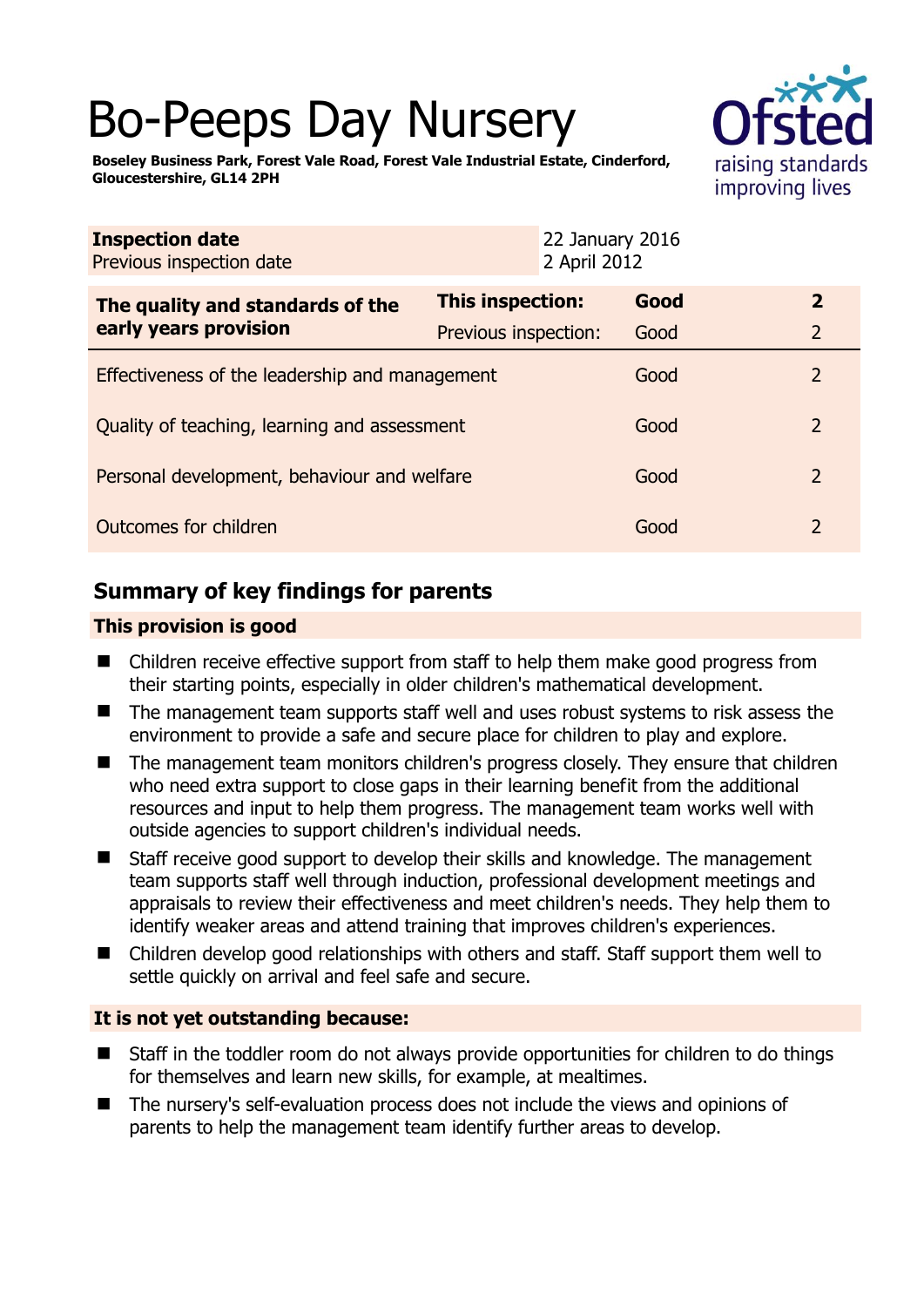# Bo-Peeps Day Nursery



**Boseley Business Park, Forest Vale Road, Forest Vale Industrial Estate, Cinderford, Gloucestershire, GL14 2PH** 

| <b>Inspection date</b><br>Previous inspection date | 22 January 2016<br>2 April 2012 |      |                |  |
|----------------------------------------------------|---------------------------------|------|----------------|--|
| The quality and standards of the                   | This inspection:                | Good | $\overline{2}$ |  |
| early years provision                              | Previous inspection:            | Good | $\overline{2}$ |  |
| Effectiveness of the leadership and management     |                                 | Good | $\overline{2}$ |  |
| Quality of teaching, learning and assessment       |                                 | Good | $\overline{2}$ |  |
| Personal development, behaviour and welfare        |                                 | Good | $\overline{2}$ |  |
| Outcomes for children                              |                                 | Good | $\overline{2}$ |  |

# **Summary of key findings for parents**

## **This provision is good**

- Children receive effective support from staff to help them make good progress from their starting points, especially in older children's mathematical development.
- The management team supports staff well and uses robust systems to risk assess the environment to provide a safe and secure place for children to play and explore.
- The management team monitors children's progress closely. They ensure that children who need extra support to close gaps in their learning benefit from the additional resources and input to help them progress. The management team works well with outside agencies to support children's individual needs.
- Staff receive good support to develop their skills and knowledge. The management team supports staff well through induction, professional development meetings and appraisals to review their effectiveness and meet children's needs. They help them to identify weaker areas and attend training that improves children's experiences.
- Children develop good relationships with others and staff. Staff support them well to settle quickly on arrival and feel safe and secure.

## **It is not yet outstanding because:**

- Staff in the toddler room do not always provide opportunities for children to do things for themselves and learn new skills, for example, at mealtimes.
- The nursery's self-evaluation process does not include the views and opinions of parents to help the management team identify further areas to develop.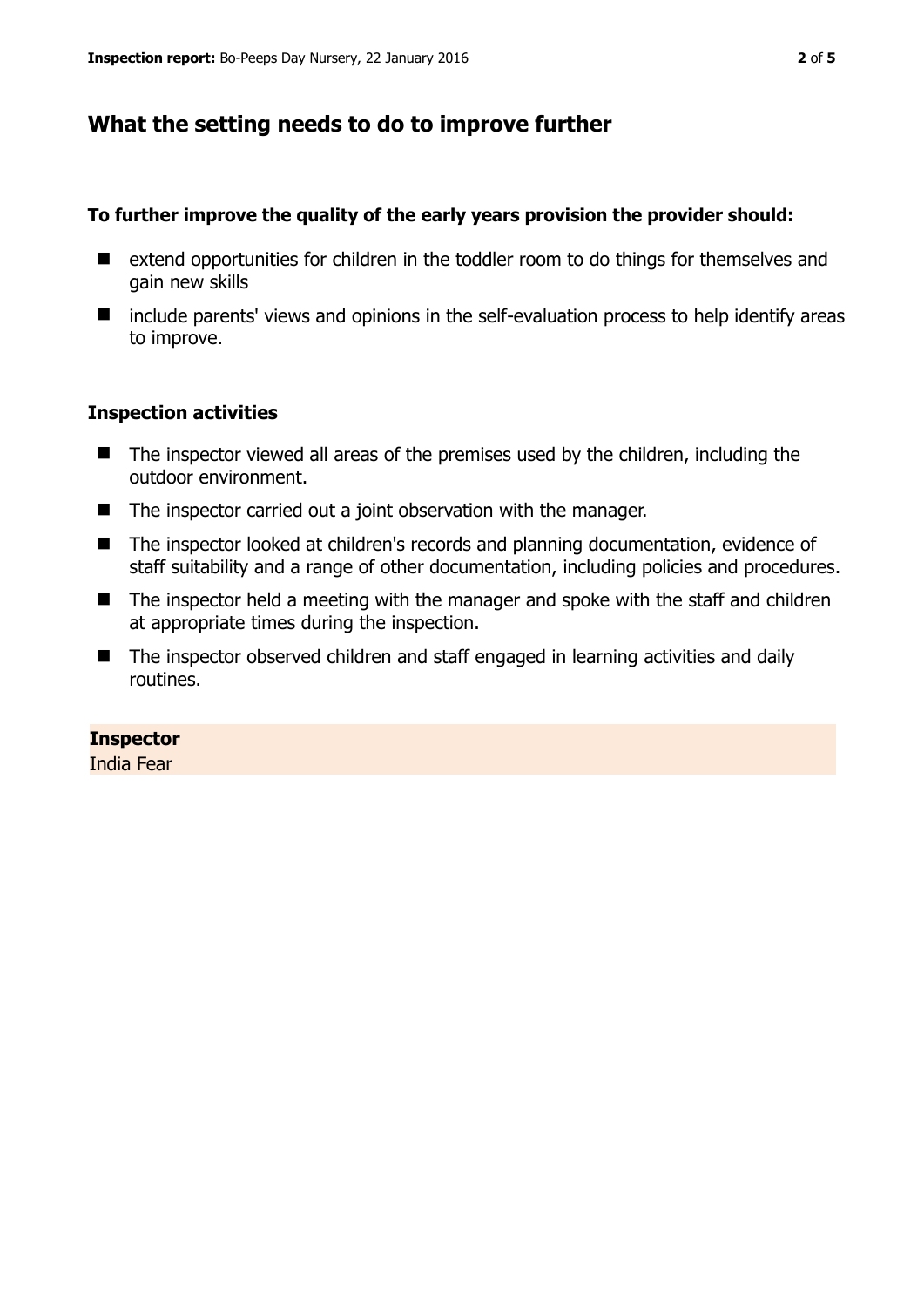# **What the setting needs to do to improve further**

#### **To further improve the quality of the early years provision the provider should:**

- extend opportunities for children in the toddler room to do things for themselves and gain new skills
- include parents' views and opinions in the self-evaluation process to help identify areas to improve.

### **Inspection activities**

- The inspector viewed all areas of the premises used by the children, including the outdoor environment.
- The inspector carried out a joint observation with the manager.
- The inspector looked at children's records and planning documentation, evidence of staff suitability and a range of other documentation, including policies and procedures.
- The inspector held a meeting with the manager and spoke with the staff and children at appropriate times during the inspection.
- The inspector observed children and staff engaged in learning activities and daily routines.

## **Inspector**

India Fear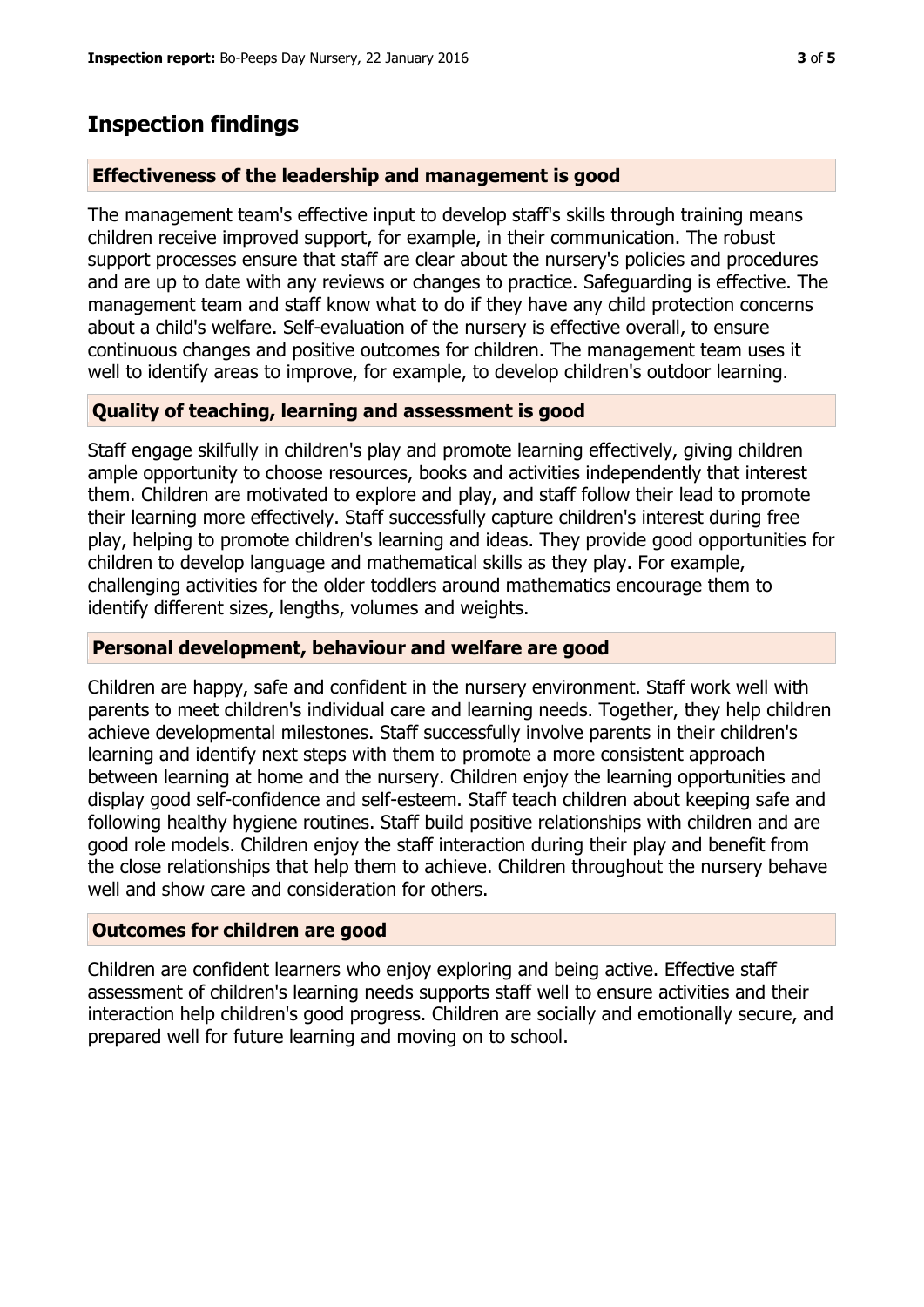## **Inspection findings**

#### **Effectiveness of the leadership and management is good**

The management team's effective input to develop staff's skills through training means children receive improved support, for example, in their communication. The robust support processes ensure that staff are clear about the nursery's policies and procedures and are up to date with any reviews or changes to practice. Safeguarding is effective. The management team and staff know what to do if they have any child protection concerns about a child's welfare. Self-evaluation of the nursery is effective overall, to ensure continuous changes and positive outcomes for children. The management team uses it well to identify areas to improve, for example, to develop children's outdoor learning.

#### **Quality of teaching, learning and assessment is good**

Staff engage skilfully in children's play and promote learning effectively, giving children ample opportunity to choose resources, books and activities independently that interest them. Children are motivated to explore and play, and staff follow their lead to promote their learning more effectively. Staff successfully capture children's interest during free play, helping to promote children's learning and ideas. They provide good opportunities for children to develop language and mathematical skills as they play. For example, challenging activities for the older toddlers around mathematics encourage them to identify different sizes, lengths, volumes and weights.

#### **Personal development, behaviour and welfare are good**

Children are happy, safe and confident in the nursery environment. Staff work well with parents to meet children's individual care and learning needs. Together, they help children achieve developmental milestones. Staff successfully involve parents in their children's learning and identify next steps with them to promote a more consistent approach between learning at home and the nursery. Children enjoy the learning opportunities and display good self-confidence and self-esteem. Staff teach children about keeping safe and following healthy hygiene routines. Staff build positive relationships with children and are good role models. Children enjoy the staff interaction during their play and benefit from the close relationships that help them to achieve. Children throughout the nursery behave well and show care and consideration for others.

#### **Outcomes for children are good**

Children are confident learners who enjoy exploring and being active. Effective staff assessment of children's learning needs supports staff well to ensure activities and their interaction help children's good progress. Children are socially and emotionally secure, and prepared well for future learning and moving on to school.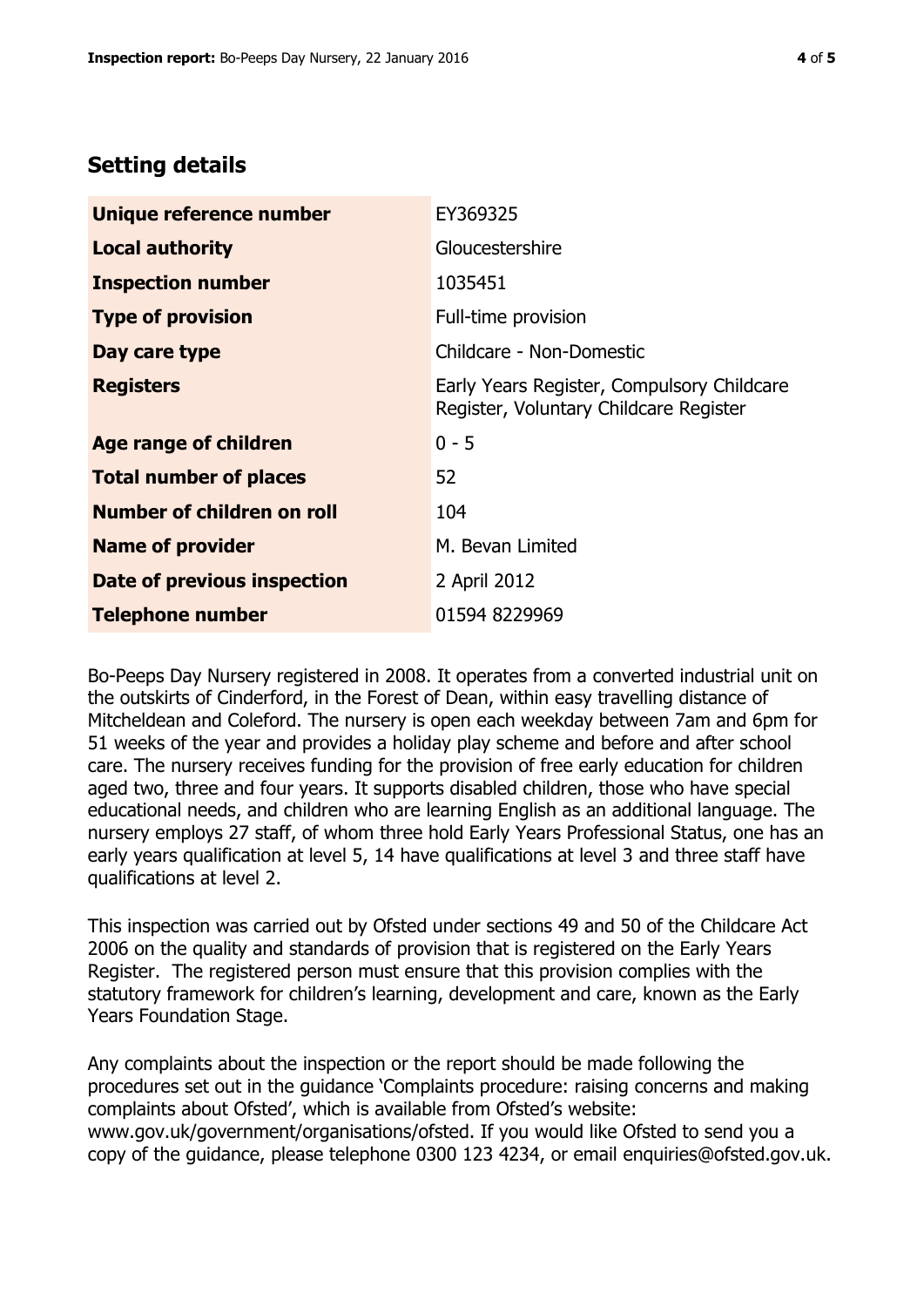# **Setting details**

| Unique reference number       | EY369325                                                                             |  |
|-------------------------------|--------------------------------------------------------------------------------------|--|
| <b>Local authority</b>        | Gloucestershire                                                                      |  |
| <b>Inspection number</b>      | 1035451                                                                              |  |
| <b>Type of provision</b>      | Full-time provision                                                                  |  |
| Day care type                 | Childcare - Non-Domestic                                                             |  |
| <b>Registers</b>              | Early Years Register, Compulsory Childcare<br>Register, Voluntary Childcare Register |  |
| <b>Age range of children</b>  | $0 - 5$                                                                              |  |
| <b>Total number of places</b> | 52                                                                                   |  |
| Number of children on roll    | 104                                                                                  |  |
| <b>Name of provider</b>       | M. Bevan Limited                                                                     |  |
| Date of previous inspection   | 2 April 2012                                                                         |  |
| <b>Telephone number</b>       | 01594 8229969                                                                        |  |

Bo-Peeps Day Nursery registered in 2008. It operates from a converted industrial unit on the outskirts of Cinderford, in the Forest of Dean, within easy travelling distance of Mitcheldean and Coleford. The nursery is open each weekday between 7am and 6pm for 51 weeks of the year and provides a holiday play scheme and before and after school care. The nursery receives funding for the provision of free early education for children aged two, three and four years. It supports disabled children, those who have special educational needs, and children who are learning English as an additional language. The nursery employs 27 staff, of whom three hold Early Years Professional Status, one has an early years qualification at level 5, 14 have qualifications at level 3 and three staff have qualifications at level 2.

This inspection was carried out by Ofsted under sections 49 and 50 of the Childcare Act 2006 on the quality and standards of provision that is registered on the Early Years Register. The registered person must ensure that this provision complies with the statutory framework for children's learning, development and care, known as the Early Years Foundation Stage.

Any complaints about the inspection or the report should be made following the procedures set out in the guidance 'Complaints procedure: raising concerns and making complaints about Ofsted', which is available from Ofsted's website: www.gov.uk/government/organisations/ofsted. If you would like Ofsted to send you a copy of the guidance, please telephone 0300 123 4234, or email enquiries@ofsted.gov.uk.